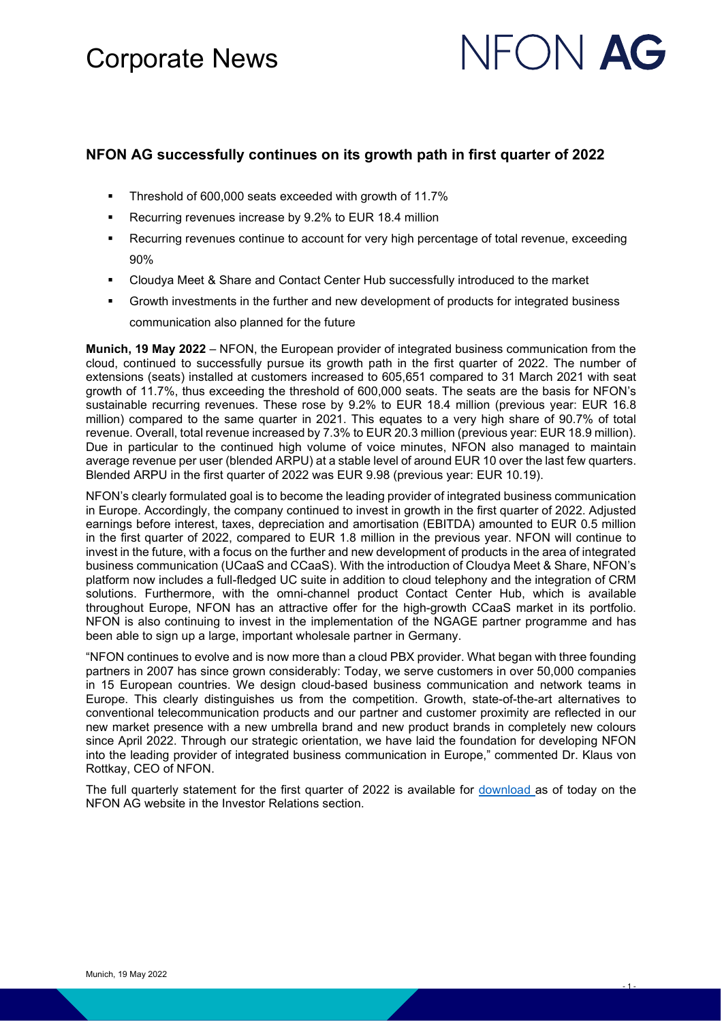### Corporate News

# NFON **AG**

- 1 -

#### **NFON AG successfully continues on its growth path in first quarter of 2022**

- **Threshold of 600,000 seats exceeded with growth of 11.7%**
- **Recurring revenues increase by 9.2% to EUR 18.4 million**
- Recurring revenues continue to account for very high percentage of total revenue, exceeding 90%
- Cloudya Meet & Share and Contact Center Hub successfully introduced to the market
- Growth investments in the further and new development of products for integrated business communication also planned for the future

**Munich, 19 May 2022** – NFON, the European provider of integrated business communication from the cloud, continued to successfully pursue its growth path in the first quarter of 2022. The number of extensions (seats) installed at customers increased to 605,651 compared to 31 March 2021 with seat growth of 11.7%, thus exceeding the threshold of 600,000 seats. The seats are the basis for NFON's sustainable recurring revenues. These rose by 9.2% to EUR 18.4 million (previous year: EUR 16.8 million) compared to the same quarter in 2021. This equates to a very high share of 90.7% of total revenue. Overall, total revenue increased by 7.3% to EUR 20.3 million (previous year: EUR 18.9 million). Due in particular to the continued high volume of voice minutes, NFON also managed to maintain average revenue per user (blended ARPU) at a stable level of around EUR 10 over the last few quarters. Blended ARPU in the first quarter of 2022 was EUR 9.98 (previous year: EUR 10.19).

NFON's clearly formulated goal is to become the leading provider of integrated business communication in Europe. Accordingly, the company continued to invest in growth in the first quarter of 2022. Adjusted earnings before interest, taxes, depreciation and amortisation (EBITDA) amounted to EUR 0.5 million in the first quarter of 2022, compared to EUR 1.8 million in the previous year. NFON will continue to invest in the future, with a focus on the further and new development of products in the area of integrated business communication (UCaaS and CCaaS). With the introduction of Cloudya Meet & Share, NFON's platform now includes a full-fledged UC suite in addition to cloud telephony and the integration of CRM solutions. Furthermore, with the omni-channel product Contact Center Hub, which is available throughout Europe, NFON has an attractive offer for the high-growth CCaaS market in its portfolio. NFON is also continuing to invest in the implementation of the NGAGE partner programme and has been able to sign up a large, important wholesale partner in Germany.

"NFON continues to evolve and is now more than a cloud PBX provider. What began with three founding partners in 2007 has since grown considerably: Today, we serve customers in over 50,000 companies in 15 European countries. We design cloud-based business communication and network teams in Europe. This clearly distinguishes us from the competition. Growth, state-of-the-art alternatives to conventional telecommunication products and our partner and customer proximity are reflected in our new market presence with a new umbrella brand and new product brands in completely new colours since April 2022. Through our strategic orientation, we have laid the foundation for developing NFON into the leading provider of integrated business communication in Europe," commented Dr. Klaus von Rottkay, CEO of NFON.

The full quarterly statement for the first quarter of 2022 is available for [download a](https://corporate.nfon.com/en/investor-relations/reports)s of today on the NFON AG website in the Investor Relations section.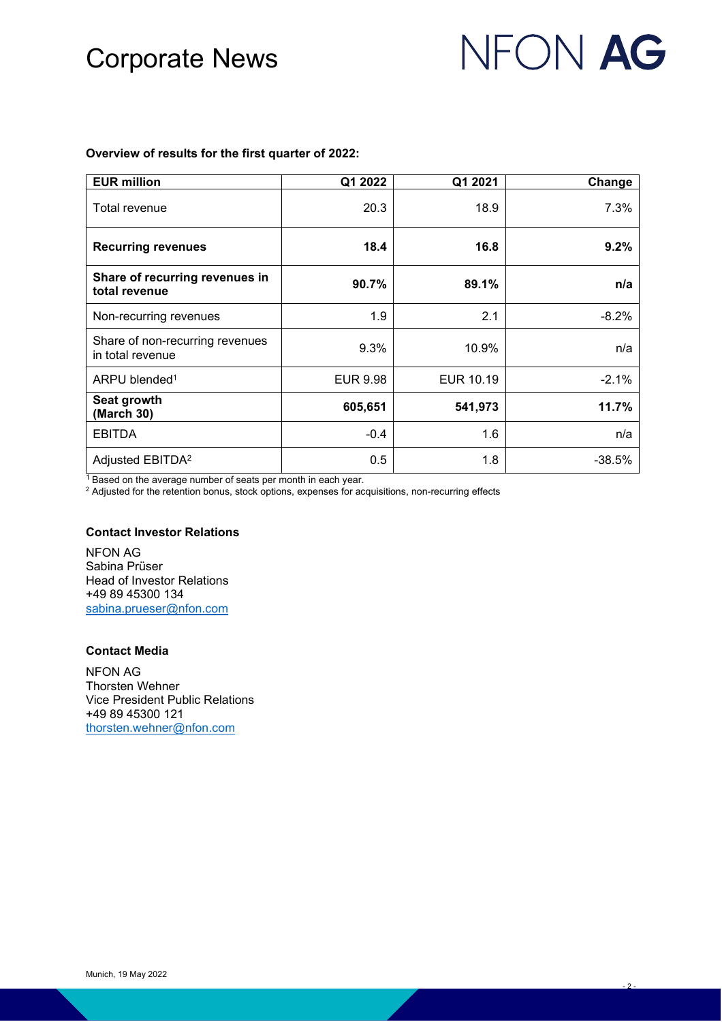## Corporate News

# NFON AG

- 2 -

#### **Overview of results for the first quarter of 2022:**

| <b>EUR million</b>                                  | Q1 2022         | Q1 2021   | Change   |
|-----------------------------------------------------|-----------------|-----------|----------|
| Total revenue                                       | 20.3            | 18.9      | 7.3%     |
| <b>Recurring revenues</b>                           | 18.4            | 16.8      | 9.2%     |
| Share of recurring revenues in<br>total revenue     | 90.7%           | 89.1%     | n/a      |
| Non-recurring revenues                              | 1.9             | 2.1       | $-8.2%$  |
| Share of non-recurring revenues<br>in total revenue | 9.3%            | 10.9%     | n/a      |
| ARPU blended <sup>1</sup>                           | <b>EUR 9.98</b> | EUR 10.19 | $-2.1%$  |
| Seat growth<br>(March 30)                           | 605,651         | 541,973   | 11.7%    |
| <b>EBITDA</b>                                       | $-0.4$          | 1.6       | n/a      |
| Adjusted EBITDA <sup>2</sup>                        | 0.5             | 1.8       | $-38.5%$ |

<sup>1</sup> Based on the average number of seats per month in each year.

<sup>2</sup> Adjusted for the retention bonus, stock options, expenses for acquisitions, non-recurring effects

#### **Contact Investor Relations**

NFON AG Sabina Prüser Head of Investor Relations +49 89 45300 134 [sabina.prueser@nfon.com](mailto:sabina.prueser@nfon.com)

#### **Contact Media**

NFON AG Thorsten Wehner Vice President Public Relations +49 89 45300 121 [thorsten.wehner@nfon.com](mailto:thorsten.wehner@nfon.com)